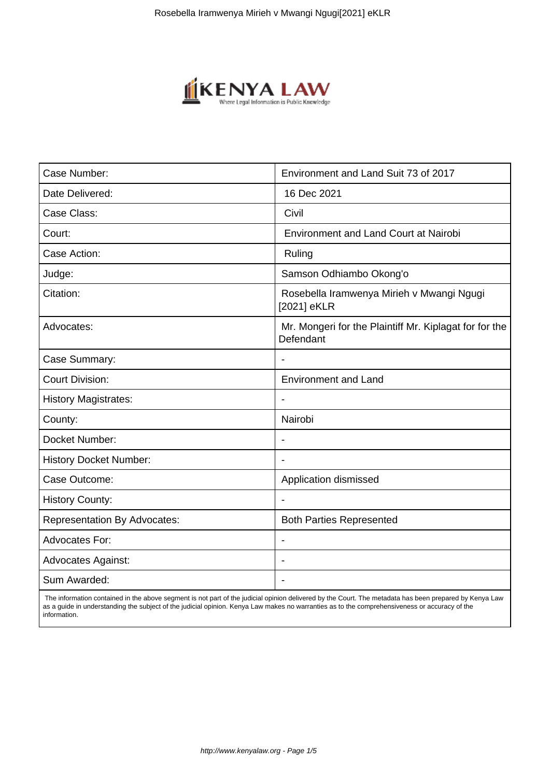

| Case Number:                        | Environment and Land Suit 73 of 2017                                |
|-------------------------------------|---------------------------------------------------------------------|
| Date Delivered:                     | 16 Dec 2021                                                         |
| Case Class:                         | Civil                                                               |
| Court:                              | <b>Environment and Land Court at Nairobi</b>                        |
| Case Action:                        | Ruling                                                              |
| Judge:                              | Samson Odhiambo Okong'o                                             |
| Citation:                           | Rosebella Iramwenya Mirieh v Mwangi Ngugi<br>[2021] eKLR            |
| Advocates:                          | Mr. Mongeri for the Plaintiff Mr. Kiplagat for for the<br>Defendant |
| Case Summary:                       |                                                                     |
| <b>Court Division:</b>              | <b>Environment and Land</b>                                         |
| <b>History Magistrates:</b>         |                                                                     |
| County:                             | Nairobi                                                             |
| Docket Number:                      | $\blacksquare$                                                      |
| <b>History Docket Number:</b>       |                                                                     |
| Case Outcome:                       | Application dismissed                                               |
| <b>History County:</b>              |                                                                     |
| <b>Representation By Advocates:</b> | <b>Both Parties Represented</b>                                     |
| Advocates For:                      |                                                                     |
| <b>Advocates Against:</b>           |                                                                     |
| Sum Awarded:                        |                                                                     |

 The information contained in the above segment is not part of the judicial opinion delivered by the Court. The metadata has been prepared by Kenya Law as a guide in understanding the subject of the judicial opinion. Kenya Law makes no warranties as to the comprehensiveness or accuracy of the information.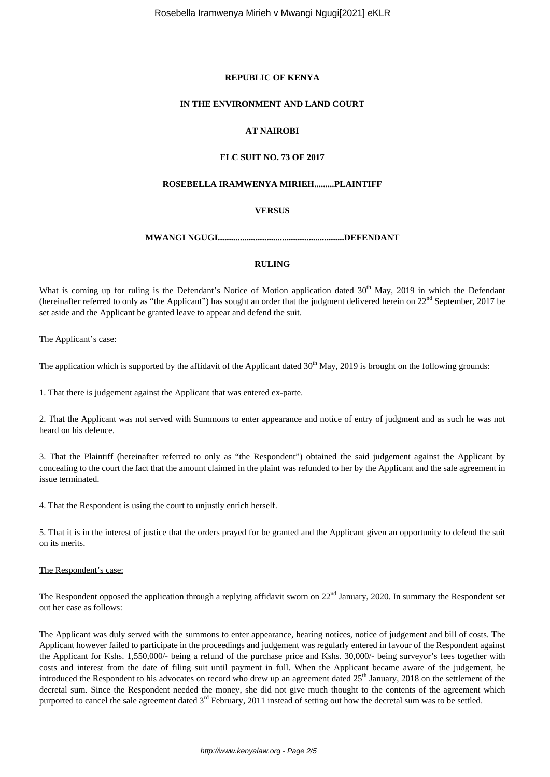## **REPUBLIC OF KENYA**

#### **IN THE ENVIRONMENT AND LAND COURT**

# **AT NAIROBI**

# **ELC SUIT NO. 73 OF 2017**

#### **ROSEBELLA IRAMWENYA MIRIEH.........PLAINTIFF**

### **VERSUS**

#### **MWANGI NGUGI.........................................................DEFENDANT**

#### **RULING**

What is coming up for ruling is the Defendant's Notice of Motion application dated 30<sup>th</sup> May, 2019 in which the Defendant (hereinafter referred to only as "the Applicant") has sought an order that the judgment delivered herein on 22<sup>nd</sup> September, 2017 be set aside and the Applicant be granted leave to appear and defend the suit.

The Applicant's case:

The application which is supported by the affidavit of the Applicant dated  $30<sup>th</sup>$  May, 2019 is brought on the following grounds:

1. That there is judgement against the Applicant that was entered ex-parte.

2. That the Applicant was not served with Summons to enter appearance and notice of entry of judgment and as such he was not heard on his defence.

3. That the Plaintiff (hereinafter referred to only as "the Respondent") obtained the said judgement against the Applicant by concealing to the court the fact that the amount claimed in the plaint was refunded to her by the Applicant and the sale agreement in issue terminated.

4. That the Respondent is using the court to unjustly enrich herself.

5. That it is in the interest of justice that the orders prayed for be granted and the Applicant given an opportunity to defend the suit on its merits.

#### The Respondent's case:

The Respondent opposed the application through a replying affidavit sworn on  $22<sup>nd</sup>$  January, 2020. In summary the Respondent set out her case as follows:

The Applicant was duly served with the summons to enter appearance, hearing notices, notice of judgement and bill of costs. The Applicant however failed to participate in the proceedings and judgement was regularly entered in favour of the Respondent against the Applicant for Kshs. 1,550,000/- being a refund of the purchase price and Kshs. 30,000/- being surveyor's fees together with costs and interest from the date of filing suit until payment in full. When the Applicant became aware of the judgement, he introduced the Respondent to his advocates on record who drew up an agreement dated  $25<sup>th</sup>$  January, 2018 on the settlement of the decretal sum. Since the Respondent needed the money, she did not give much thought to the contents of the agreement which purported to cancel the sale agreement dated  $3<sup>rd</sup>$  February, 2011 instead of setting out how the decretal sum was to be settled.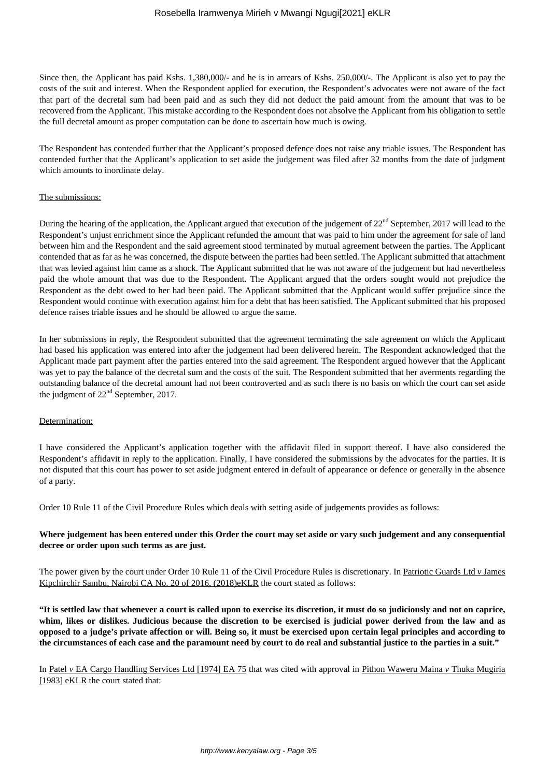Since then, the Applicant has paid Kshs. 1,380,000/- and he is in arrears of Kshs. 250,000/-. The Applicant is also yet to pay the costs of the suit and interest. When the Respondent applied for execution, the Respondent's advocates were not aware of the fact that part of the decretal sum had been paid and as such they did not deduct the paid amount from the amount that was to be recovered from the Applicant. This mistake according to the Respondent does not absolve the Applicant from his obligation to settle the full decretal amount as proper computation can be done to ascertain how much is owing.

The Respondent has contended further that the Applicant's proposed defence does not raise any triable issues. The Respondent has contended further that the Applicant's application to set aside the judgement was filed after 32 months from the date of judgment which amounts to inordinate delay.

#### The submissions:

During the hearing of the application, the Applicant argued that execution of the judgement of 22<sup>nd</sup> September, 2017 will lead to the Respondent's unjust enrichment since the Applicant refunded the amount that was paid to him under the agreement for sale of land between him and the Respondent and the said agreement stood terminated by mutual agreement between the parties. The Applicant contended that as far as he was concerned, the dispute between the parties had been settled. The Applicant submitted that attachment that was levied against him came as a shock. The Applicant submitted that he was not aware of the judgement but had nevertheless paid the whole amount that was due to the Respondent. The Applicant argued that the orders sought would not prejudice the Respondent as the debt owed to her had been paid. The Applicant submitted that the Applicant would suffer prejudice since the Respondent would continue with execution against him for a debt that has been satisfied. The Applicant submitted that his proposed defence raises triable issues and he should be allowed to argue the same.

In her submissions in reply, the Respondent submitted that the agreement terminating the sale agreement on which the Applicant had based his application was entered into after the judgement had been delivered herein. The Respondent acknowledged that the Applicant made part payment after the parties entered into the said agreement. The Respondent argued however that the Applicant was yet to pay the balance of the decretal sum and the costs of the suit. The Respondent submitted that her averments regarding the outstanding balance of the decretal amount had not been controverted and as such there is no basis on which the court can set aside the judgment of  $22<sup>nd</sup>$  September, 2017.

#### Determination:

I have considered the Applicant's application together with the affidavit filed in support thereof. I have also considered the Respondent's affidavit in reply to the application. Finally, I have considered the submissions by the advocates for the parties. It is not disputed that this court has power to set aside judgment entered in default of appearance or defence or generally in the absence of a party.

Order 10 Rule 11 of the Civil Procedure Rules which deals with setting aside of judgements provides as follows:

## **Where judgement has been entered under this Order the court may set aside or vary such judgement and any consequential decree or order upon such terms as are just.**

The power given by the court under Order 10 Rule 11 of the Civil Procedure Rules is discretionary. In Patriotic Guards Ltd *v* James Kipchirchir Sambu, Nairobi CA No. 20 of 2016, (2018)eKLR the court stated as follows:

**"It is settled law that whenever a court is called upon to exercise its discretion, it must do so judiciously and not on caprice, whim, likes or dislikes. Judicious because the discretion to be exercised is judicial power derived from the law and as opposed to a judge's private affection or will. Being so, it must be exercised upon certain legal principles and according to the circumstances of each case and the paramount need by court to do real and substantial justice to the parties in a suit."**

In Patel *v* EA Cargo Handling Services Ltd [1974] EA 75 that was cited with approval in Pithon Waweru Maina *v* Thuka Mugiria [1983] eKLR the court stated that: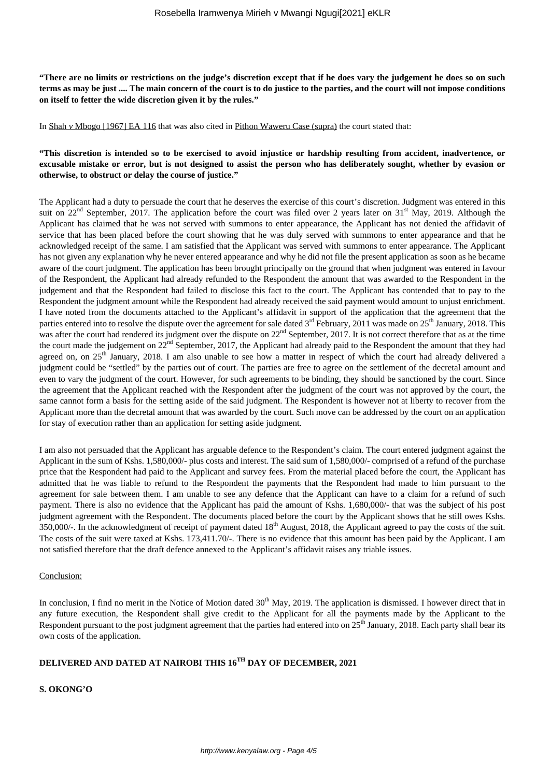**"There are no limits or restrictions on the judge's discretion except that if he does vary the judgement he does so on such terms as may be just .... The main concern of the court is to do justice to the parties, and the court will not impose conditions on itself to fetter the wide discretion given it by the rules."**

In Shah *v* Mbogo [1967] EA 116 that was also cited in Pithon Waweru Case (supra) the court stated that:

# **"This discretion is intended so to be exercised to avoid injustice or hardship resulting from accident, inadvertence, or excusable mistake or error, but is not designed to assist the person who has deliberately sought, whether by evasion or otherwise, to obstruct or delay the course of justice."**

The Applicant had a duty to persuade the court that he deserves the exercise of this court's discretion. Judgment was entered in this suit on  $22<sup>nd</sup>$  September, 2017. The application before the court was filed over 2 years later on  $31<sup>st</sup>$  May, 2019. Although the Applicant has claimed that he was not served with summons to enter appearance, the Applicant has not denied the affidavit of service that has been placed before the court showing that he was duly served with summons to enter appearance and that he acknowledged receipt of the same. I am satisfied that the Applicant was served with summons to enter appearance. The Applicant has not given any explanation why he never entered appearance and why he did not file the present application as soon as he became aware of the court judgment. The application has been brought principally on the ground that when judgment was entered in favour of the Respondent, the Applicant had already refunded to the Respondent the amount that was awarded to the Respondent in the judgement and that the Respondent had failed to disclose this fact to the court. The Applicant has contended that to pay to the Respondent the judgment amount while the Respondent had already received the said payment would amount to unjust enrichment. I have noted from the documents attached to the Applicant's affidavit in support of the application that the agreement that the parties entered into to resolve the dispute over the agreement for sale dated  $3<sup>rd</sup>$  February, 2011 was made on  $25<sup>th</sup>$  January, 2018. This was after the court had rendered its judgment over the dispute on 22<sup>nd</sup> September, 2017. It is not correct therefore that as at the time the court made the judgement on 22<sup>nd</sup> September, 2017, the Applicant had already paid to the Respondent the amount that they had agreed on, on  $25<sup>th</sup>$  January, 2018. I am also unable to see how a matter in respect of which the court had already delivered a judgment could be "settled" by the parties out of court. The parties are free to agree on the settlement of the decretal amount and even to vary the judgment of the court. However, for such agreements to be binding, they should be sanctioned by the court. Since the agreement that the Applicant reached with the Respondent after the judgment of the court was not approved by the court, the same cannot form a basis for the setting aside of the said judgment. The Respondent is however not at liberty to recover from the Applicant more than the decretal amount that was awarded by the court. Such move can be addressed by the court on an application for stay of execution rather than an application for setting aside judgment.

I am also not persuaded that the Applicant has arguable defence to the Respondent's claim. The court entered judgment against the Applicant in the sum of Kshs. 1,580,000/- plus costs and interest. The said sum of 1,580,000/- comprised of a refund of the purchase price that the Respondent had paid to the Applicant and survey fees. From the material placed before the court, the Applicant has admitted that he was liable to refund to the Respondent the payments that the Respondent had made to him pursuant to the agreement for sale between them. I am unable to see any defence that the Applicant can have to a claim for a refund of such payment. There is also no evidence that the Applicant has paid the amount of Kshs. 1,680,000/- that was the subject of his post judgment agreement with the Respondent. The documents placed before the court by the Applicant shows that he still owes Kshs. 350,000/-. In the acknowledgment of receipt of payment dated  $18<sup>th</sup>$  August, 2018, the Applicant agreed to pay the costs of the suit. The costs of the suit were taxed at Kshs. 173,411.70/-. There is no evidence that this amount has been paid by the Applicant. I am not satisfied therefore that the draft defence annexed to the Applicant's affidavit raises any triable issues.

#### Conclusion:

In conclusion, I find no merit in the Notice of Motion dated  $30<sup>th</sup>$  May, 2019. The application is dismissed. I however direct that in any future execution, the Respondent shall give credit to the Applicant for all the payments made by the Applicant to the Respondent pursuant to the post judgment agreement that the parties had entered into on  $25<sup>th</sup>$  January, 2018. Each party shall bear its own costs of the application.

# **DELIVERED AND DATED AT NAIROBI THIS 16TH DAY OF DECEMBER, 2021**

**S. OKONG'O**